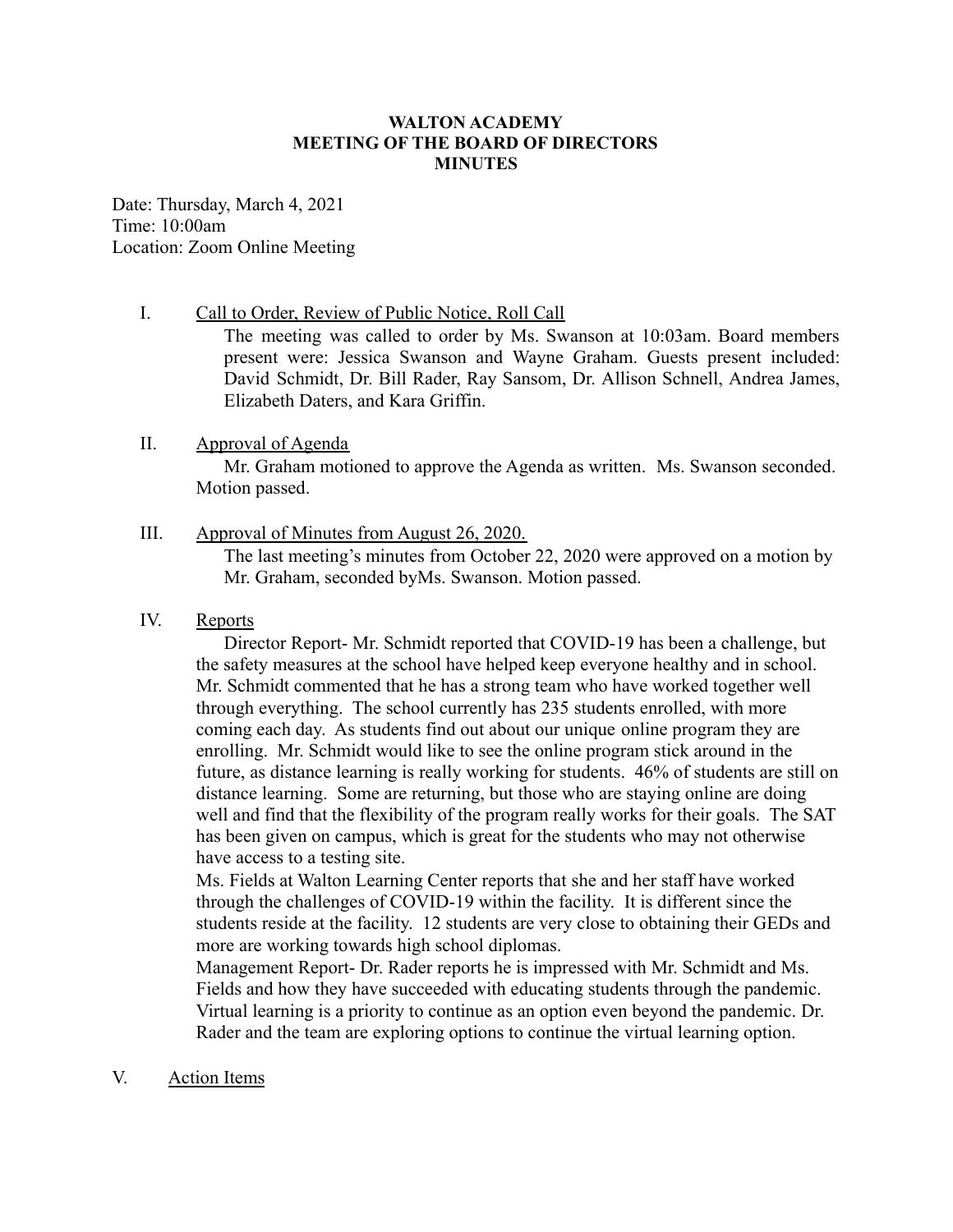## **WALTON ACADEMY MEETING OF THE BOARD OF DIRECTORS MINUTES**

Date: Thursday, March 4, 2021 Time: 10:00am Location: Zoom Online Meeting

## I. Call to Order, Review of Public Notice, Roll Call

The meeting was called to order by Ms. Swanson at 10:03am. Board members present were: Jessica Swanson and Wayne Graham. Guests present included: David Schmidt, Dr. Bill Rader, Ray Sansom, Dr. Allison Schnell, Andrea James, Elizabeth Daters, and Kara Griffin.

# II. Approval of Agenda

Mr. Graham motioned to approve the Agenda as written. Ms. Swanson seconded. Motion passed.

# III. Approval of Minutes from August 26, 2020.

The last meeting's minutes from October 22, 2020 were approved on a motion by Mr. Graham, seconded byMs. Swanson. Motion passed.

## IV. Reports

Director Report- Mr. Schmidt reported that COVID-19 has been a challenge, but the safety measures at the school have helped keep everyone healthy and in school. Mr. Schmidt commented that he has a strong team who have worked together well through everything. The school currently has 235 students enrolled, with more coming each day. As students find out about our unique online program they are enrolling. Mr. Schmidt would like to see the online program stick around in the future, as distance learning is really working for students. 46% of students are still on distance learning. Some are returning, but those who are staying online are doing well and find that the flexibility of the program really works for their goals. The SAT has been given on campus, which is great for the students who may not otherwise have access to a testing site.

Ms. Fields at Walton Learning Center reports that she and her staff have worked through the challenges of COVID-19 within the facility. It is different since the students reside at the facility. 12 students are very close to obtaining their GEDs and more are working towards high school diplomas.

Management Report- Dr. Rader reports he is impressed with Mr. Schmidt and Ms. Fields and how they have succeeded with educating students through the pandemic. Virtual learning is a priority to continue as an option even beyond the pandemic. Dr. Rader and the team are exploring options to continue the virtual learning option.

## V. Action Items